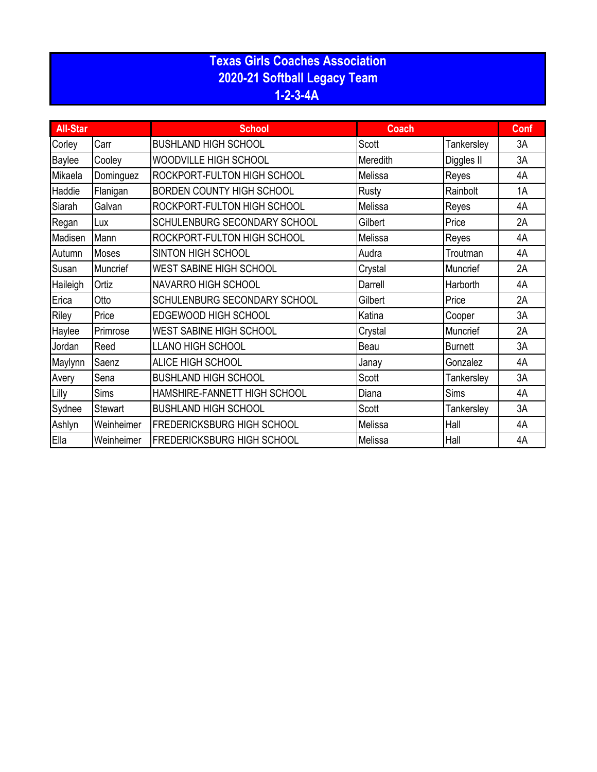## **Texas Girls Coaches Association 2020-21 Softball Legacy Team 1-2-3-4A**

| <b>All-Star</b> |                 | <b>School</b>                     | <b>Coach</b> |                |    |
|-----------------|-----------------|-----------------------------------|--------------|----------------|----|
| Corley          | Carr            | <b>BUSHLAND HIGH SCHOOL</b>       | Scott        | Tankersley     | 3A |
| Baylee          | Cooley          | WOODVILLE HIGH SCHOOL             | Meredith     | Diggles II     | 3A |
| Mikaela         | Dominguez       | ROCKPORT-FULTON HIGH SCHOOL       | Melissa      | Reyes          | 4A |
| Haddie          | Flanigan        | <b>BORDEN COUNTY HIGH SCHOOL</b>  | Rusty        | Rainbolt       | 1A |
| Siarah          | Galvan          | ROCKPORT-FULTON HIGH SCHOOL       | Melissa      | Reyes          | 4A |
| Regan           | Lux             | SCHULENBURG SECONDARY SCHOOL      | Gilbert      | Price          | 2A |
| Madisen         | Mann            | ROCKPORT-FULTON HIGH SCHOOL       | Melissa      | Reyes          | 4A |
| Autumn          | <b>Moses</b>    | <b>SINTON HIGH SCHOOL</b>         | Audra        | Troutman       | 4A |
| Susan           | <b>Muncrief</b> | <b>WEST SABINE HIGH SCHOOL</b>    | Crystal      | Muncrief       | 2A |
| Haileigh        | Ortiz           | <b>NAVARRO HIGH SCHOOL</b>        | Darrell      | Harborth       | 4A |
| Erica           | Otto            | SCHULENBURG SECONDARY SCHOOL      | Gilbert      | Price          | 2A |
| Riley           | Price           | EDGEWOOD HIGH SCHOOL              | Katina       | Cooper         | 3A |
| Haylee          | Primrose        | <b>WEST SABINE HIGH SCHOOL</b>    | Crystal      | Muncrief       | 2A |
| Jordan          | Reed            | LLANO HIGH SCHOOL                 | Beau         | <b>Burnett</b> | 3A |
| Maylynn         | Saenz           | ALICE HIGH SCHOOL                 | Janay        | Gonzalez       | 4A |
| Avery           | Sena            | <b>BUSHLAND HIGH SCHOOL</b>       | Scott        | Tankersley     | 3A |
| Lilly           | <b>Sims</b>     | HAMSHIRE-FANNETT HIGH SCHOOL      | Diana        | Sims           | 4A |
| Sydnee          | <b>Stewart</b>  | <b>BUSHLAND HIGH SCHOOL</b>       | Scott        | Tankersley     | 3A |
| Ashlyn          | Weinheimer      | FREDERICKSBURG HIGH SCHOOL        | Melissa      | Hall           | 4A |
| Ella            | Weinheimer      | <b>FREDERICKSBURG HIGH SCHOOL</b> | Melissa      | Hall           | 4A |